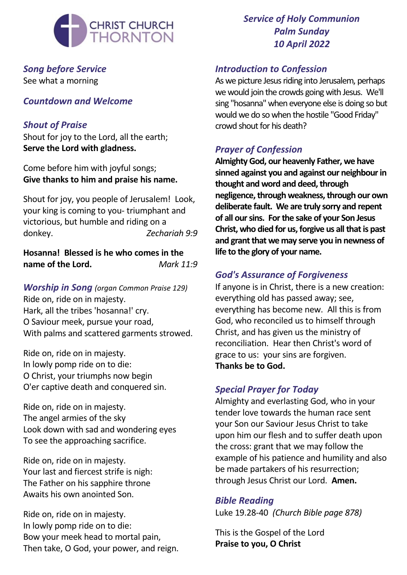

*Song before Service* See what a morning

## *Countdown and Welcome*

#### *Shout of Praise*

Shout for joy to the Lord, all the earth; **Serve the Lord with gladness.**

Come before him with joyful songs; **Give thanks to him and praise his name.**

Shout for joy, you people of Jerusalem! Look, your king is coming to you- triumphant and victorious, but humble and riding on a donkey. *Zechariah 9:9*

**Hosanna! Blessed is he who comes in the name of the Lord.** *Mark 11:9*

*Worship in Song (organ Common Praise 129)* Ride on, ride on in majesty. Hark, all the tribes 'hosanna!' cry. O Saviour meek, pursue your road, With palms and scattered garments strowed.

Ride on, ride on in majesty. In lowly pomp ride on to die: O Christ, your triumphs now begin O'er captive death and conquered sin.

Ride on, ride on in majesty. The angel armies of the sky Look down with sad and wondering eyes To see the approaching sacrifice.

Ride on, ride on in majesty. Your last and fiercest strife is nigh: The Father on his sapphire throne Awaits his own anointed Son.

Ride on, ride on in majesty. In lowly pomp ride on to die: Bow your meek head to mortal pain, Then take, O God, your power, and reign. *Service of Holy Communion Palm Sunday 10 April 2022*

#### *Introduction to Confession*

As we picture Jesus riding into Jerusalem, perhaps we would join the crowds going with Jesus. We'll sing "hosanna" when everyone else is doing so but would we do so when the hostile "Good Friday" crowd shout for his death?

## *Prayer of Confession*

**Almighty God, our heavenly Father, we have sinned against you and against our neighbourin thought and word and deed,through negligence, through weakness, through our own deliberate fault. We are truly sorry and repent of all oursins. Forthe sake of your Son Jesus Christ, who died for us, forgive us allthatis past and** grant that we may serve you in newness of **life to the glory of your name.**

#### *God's Assurance of Forgiveness*

If anyone is in Christ, there is a new creation: everything old has passed away; see, everything has become new. All this is from God, who reconciled us to himself through Christ, and has given us the ministry of reconciliation. Hear then Christ's word of grace to us: your sins are forgiven. **Thanks be to God.**

#### *Special Prayer for Today*

Almighty and everlasting God, who in your tender love towards the human race sent your Son our Saviour Jesus Christ to take upon him our flesh and to suffer death upon the cross: grant that we may follow the example of his patience and humility and also be made partakers of his resurrection; through Jesus Christ our Lord. **Amen.**

#### *Bible Reading*

Luke 19.28-40 *(Church Bible page 878)*

This is the Gospel of the Lord **Praise to you, O Christ**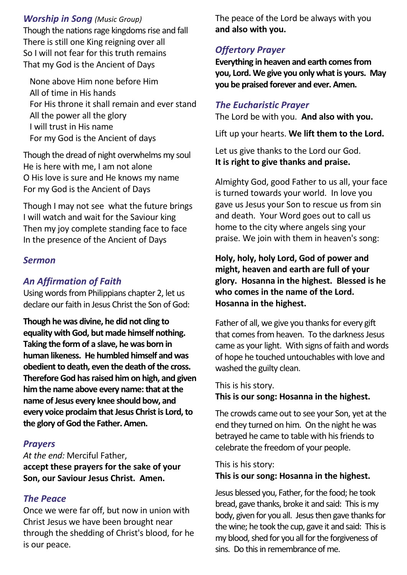### *Worship in Song (Music Group)*

Though the nations rage kingdoms rise and fall There is still one King reigning over all So I will not fear for this truth remains That my God is the Ancient of Days

 None above Him none before Him All of time in His hands For His throne it shall remain and ever stand All the power all the glory I will trust in His name For my God is the Ancient of days

Though the dread of night overwhelms my soul He is here with me, I am not alone O His love is sure and He knows my name For my God is the Ancient of Days

Though I may not see what the future brings I will watch and wait for the Saviour king Then my joy complete standing face to face In the presence of the Ancient of Days

### *Sermon*

# *An Affirmation of Faith*

Using words from Philippians chapter 2, let us declare our faith in Jesus Christ the Son of God:

**Though he was divine, he did not cling to equality withGod, but made himself nothing. Taking the form of a slave, he was born in human likeness. He humbled himself and was obedient to death, even the death of the cross. ThereforeGod hasraised him on high, and given him** the name above every name: that at the **name ofJesus every knee should bow, and every voice proclaim thatJesus Christis Lord,to the glory of God the Father. Amen.**

### *Prayers*

*At the end:* Merciful Father, **accept these prayers for the sake of your**

**Son, our Saviour Jesus Christ. Amen.**

## *The Peace*

Once we were far off, but now in union with Christ Jesus we have been brought near through the shedding of Christ's blood, for he is our peace.

The peace of the Lord be always with you **and also with you.**

# *Offertory Prayer*

**Everything in heaven and earth comes from you, Lord. We give you only whatis yours. May you be praised forever and ever. Amen.**

## *The Eucharistic Prayer*

The Lord be with you. **And also with you.**

Lift up your hearts. **We lift them to the Lord.**

Let us give thanks to the Lord our God. **It is right to give thanks and praise.**

Almighty God, good Father to us all, your face is turned towards your world. In love you gave us Jesus your Son to rescue us from sin and death. Your Word goes out to call us home to the city where angels sing your praise. We join with them in heaven's song:

### **Holy, holy, holy Lord, God of power and might, heaven and earth are full of your glory. Hosanna in the highest. Blessed is he who comes in the name of the Lord. Hosanna in the highest.**

Father of all, we give you thanks for every gift that comes from heaven. To the darkness Jesus came as your light. With signs of faith and words of hope he touched untouchables with love and washed the guilty clean.

This is his story.

### **This is our song: Hosanna in the highest.**

The crowds came out to see your Son, yet at the end they turned on him. On the night he was betrayed he came to table with his friends to celebrate the freedom of your people.

This is his story:

### **This is our song: Hosanna in the highest.**

Jesus blessed you, Father, for the food; he took bread, gave thanks, broke it and said: This is my body, given for you all. Jesus then gave thanks for the wine; he took the cup, gave it and said: This is my blood, shed for you all for the forgiveness of sins. Do this in remembrance of me.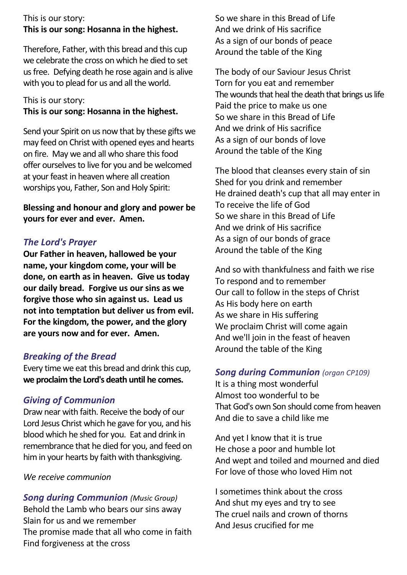#### This is our story: **This is our song: Hosanna in the highest.**

Therefore, Father, with this bread and this cup we celebrate the cross on which he died to set usfree. Defying death he rose again and is alive with you to plead for us and all the world.

#### This is our story:

#### **This is our song: Hosanna in the highest.**

Send your Spirit on us now that by these gifts we may feed on Christ with opened eyes and hearts on fire. May we and all who share thisfood offer ourselves to live for you and be welcomed at your feast in heaven where all creation worships you, Father, Son and Holy Spirit:

**Blessing and honour and glory and power be yours for ever and ever. Amen.**

## *The Lord's Prayer*

**Our Father in heaven, hallowed be your name, your kingdom come, your will be done, on earth as in heaven. Give us today our daily bread. Forgive us our sins as we forgive those who sin against us. Lead us not into temptation but deliver us from evil. For the kingdom, the power, and the glory are yours now and for ever. Amen.**

### *Breaking of the Bread*

Every time we eat this bread and drink this cup, **we proclaim the Lord's death until he comes.**

## *Giving of Communion*

Draw near with faith. Receive the body of our Lord Jesus Christ which he gave for you, and his blood which he shed for you. Eat and drink in remembrance that he died for you, and feed on him in your hearts by faith with thanksgiving.

### *We receive communion*

*Song during Communion (Music Group)* Behold the Lamb who bears our sins away Slain for us and we remember The promise made that all who come in faith Find forgiveness at the cross

So we share in this Bread of Life And we drink of His sacrifice As a sign of our bonds of peace Around the table of the King

The body of our Saviour Jesus Christ Torn for you eat and remember The wounds that heal the death that brings us life Paid the price to make us one So we share in this Bread of Life And we drink of His sacrifice As a sign of our bonds of love Around the table of the King

The blood that cleanses every stain of sin Shed for you drink and remember He drained death's cup that all may enter in To receive the life of God So we share in this Bread of Life And we drink of His sacrifice As a sign of our bonds of grace Around the table of the King

And so with thankfulness and faith we rise To respond and to remember Our call to follow in the steps of Christ As His body here on earth As we share in His suffering We proclaim Christ will come again And we'll join in the feast of heaven Around the table of the King

### *Song during Communion (organ CP109)*

It is a thing most wonderful Almost too wonderful to be That God's own Son should come fromheaven And die to save a child like me

And yet I know that it is true He chose a poor and humble lot And wept and toiled and mourned and died For love of those who loved Him not

I sometimes think about the cross And shut my eyes and try to see The cruel nails and crown of thorns And Jesus crucified for me